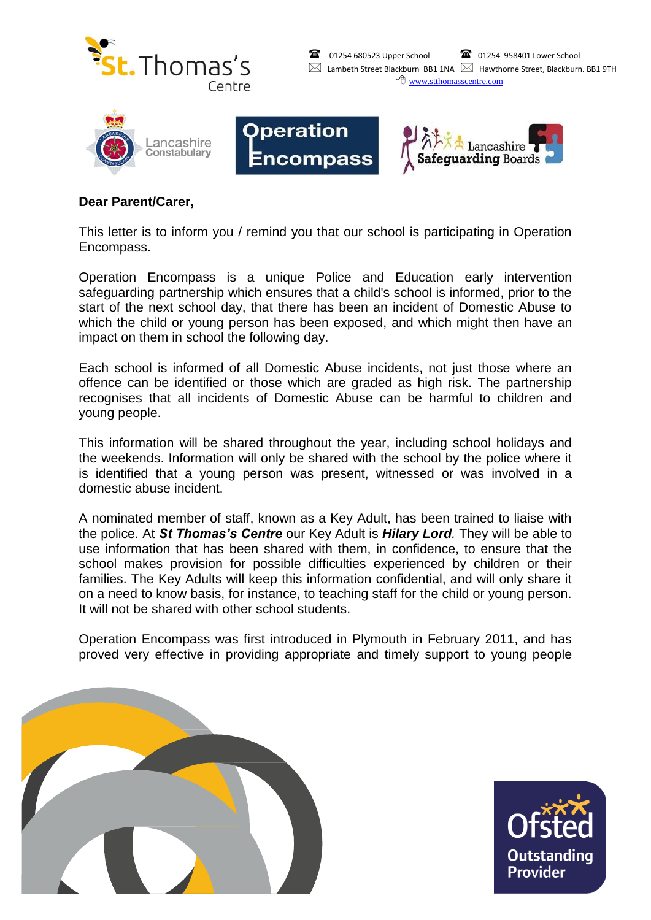





## **Dear Parent/Carer,**

This letter is to inform you / remind you that our school is participating in Operation Encompass.

**Operation** 

Encompass

Operation Encompass is a unique Police and Education early intervention safeguarding partnership which ensures that a child's school is informed, prior to the start of the next school day, that there has been an incident of Domestic Abuse to which the child or young person has been exposed, and which might then have an impact on them in school the following day.

Each school is informed of all Domestic Abuse incidents, not just those where an offence can be identified or those which are graded as high risk. The partnership recognises that all incidents of Domestic Abuse can be harmful to children and young people.

This information will be shared throughout the year, including school holidays and the weekends. Information will only be shared with the school by the police where it is identified that a young person was present, witnessed or was involved in a domestic abuse incident.

A nominated member of staff, known as a Key Adult, has been trained to liaise with the police. At *St Thomas's Centre* our Key Adult is *Hilary Lord.* They will be able to use information that has been shared with them, in confidence, to ensure that the school makes provision for possible difficulties experienced by children or their families. The Key Adults will keep this information confidential, and will only share it on a need to know basis, for instance, to teaching staff for the child or young person. It will not be shared with other school students.

Operation Encompass was first introduced in Plymouth in February 2011, and has proved very effective in providing appropriate and timely support to young people